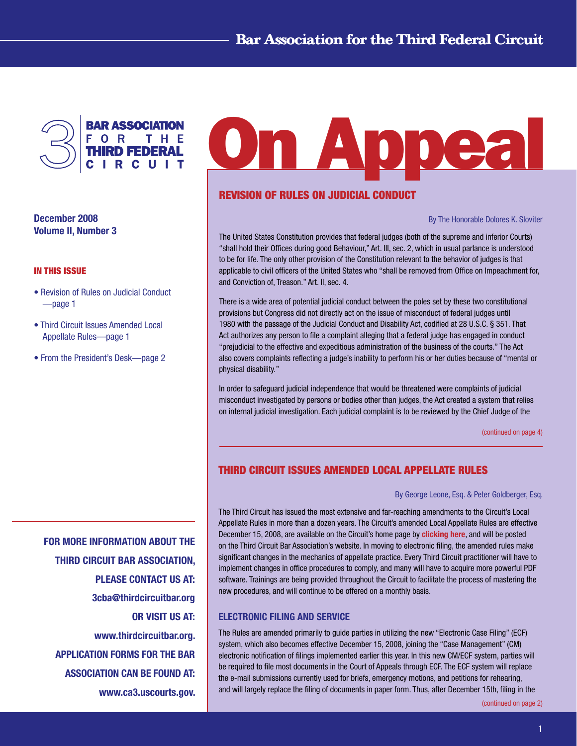

December 2008 Volume II, Number 3

#### In This Issue

- Revision of Rules on Judicial Conduct —page 1
- Third Circuit Issues Amended Local Appellate Rules—page 1
- From the President's Desk—page 2

**On Appea** 

# Revision of Rules on Judicial Conduct

By The Honorable Dolores K. Sloviter

The United States Constitution provides that federal judges (both of the supreme and inferior Courts) "shall hold their Offices during good Behaviour," Art. III, sec. 2, which in usual parlance is understood to be for life. The only other provision of the Constitution relevant to the behavior of judges is that applicable to civil officers of the United States who "shall be removed from Office on Impeachment for, and Conviction of, Treason." Art. II, sec. 4.

There is a wide area of potential judicial conduct between the poles set by these two constitutional provisions but Congress did not directly act on the issue of misconduct of federal judges until 1980 with the passage of the Judicial Conduct and Disability Act, codified at 28 U.S.C. § 351. That Act authorizes any person to file a complaint alleging that a federal judge has engaged in conduct "prejudicial to the effective and expeditious administration of the business of the courts." The Act also covers complaints reflecting a judge's inability to perform his or her duties because of "mental or physical disability."

In order to safeguard judicial independence that would be threatened were complaints of judicial misconduct investigated by persons or bodies other than judges, the Act created a system that relies on internal judicial investigation. Each judicial complaint is to be reviewed by the Chief Judge of the

[\(continued on page 4\)](#page-3-0)

# THIRD CIRCUIT ISSUES AMENDED LOCAL APPELLATE RULES

#### By George Leone, Esq. & Peter Goldberger, Esq.

The Third Circuit has issued the most extensive and far-reaching amendments to the Circuit's Local Appellate Rules in more than a dozen years. The Circuit's amended Local Appellate Rules are effective December 15, 2008, are available on the Circuit's home page by [clicking here](http://www.ca3.uscourts.gov/Rules/final.pdf), and will be posted on the Third Circuit Bar Association's website. In moving to electronic filing, the amended rules make significant changes in the mechanics of appellate practice. Every Third Circuit practitioner will have to implement changes in office procedures to comply, and many will have to acquire more powerful PDF software. Trainings are being provided throughout the Circuit to facilitate the process of mastering the new procedures, and will continue to be offered on a monthly basis.

### ELECTRONIC FILING AND SERVICE

The Rules are amended primarily to guide parties in utilizing the new "Electronic Case Filing" (ECF) system, which also becomes effective December 15, 2008, joining the "Case Management" (CM) electronic notification of filings implemented earlier this year. In this new CM/ECF system, parties will be required to file most documents in the Court of Appeals through ECF. The ECF system will replace the e-mail submissions currently used for briefs, emergency motions, and petitions for rehearing, and will largely replace the filing of documents in paper form. Thus, after December 15th, filing in the

FOR MORE INFORMATION ABOUT THE THIRD CIRCUIT BAR ASSOCIATION, PLEASE CONTACT US AT: 3cba@thirdcircuitbar.org OR VISIT US AT: www.thirdcircuitbar.org. APPLICATION FORMS FOR THE BAR ASSOCIATION CAN BE FOUND AT:

www.ca3.uscourts.gov.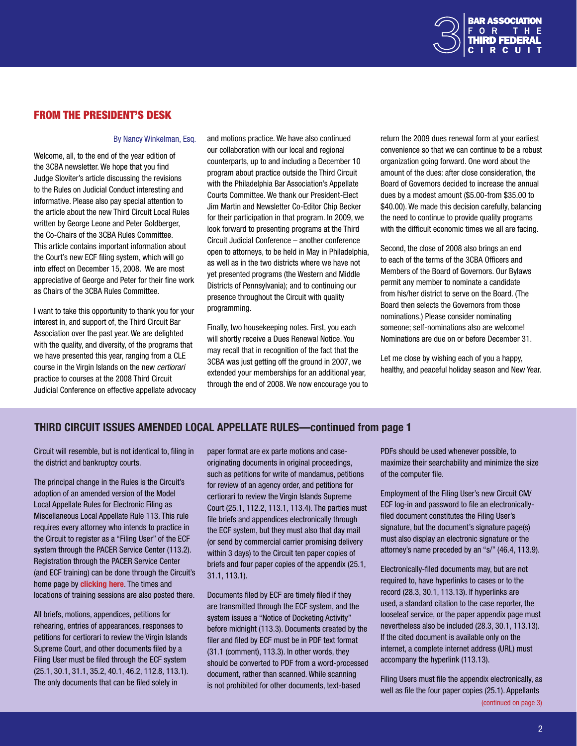

# <span id="page-1-0"></span>From The President's Desk

#### By Nancy Winkelman, Esq.

Welcome, all, to the end of the year edition of the 3CBA newsletter. We hope that you find Judge Sloviter's article discussing the revisions to the Rules on Judicial Conduct interesting and informative. Please also pay special attention to the article about the new Third Circuit Local Rules written by George Leone and Peter Goldberger, the Co-Chairs of the 3CBA Rules Committee. This article contains important information about the Court's new ECF filing system, which will go into effect on December 15, 2008. We are most appreciative of George and Peter for their fine work as Chairs of the 3CBA Rules Committee.

I want to take this opportunity to thank you for your interest in, and support of, the Third Circuit Bar Association over the past year. We are delighted with the quality, and diversity, of the programs that we have presented this year, ranging from a CLE course in the Virgin Islands on the new *certiorari* practice to courses at the 2008 Third Circuit Judicial Conference on effective appellate advocacy and motions practice. We have also continued our collaboration with our local and regional counterparts, up to and including a December 10 program about practice outside the Third Circuit with the Philadelphia Bar Association's Appellate Courts Committee. We thank our President-Elect Jim Martin and Newsletter Co-Editor Chip Becker for their participation in that program. In 2009, we look forward to presenting programs at the Third Circuit Judicial Conference – another conference open to attorneys, to be held in May in Philadelphia, as well as in the two districts where we have not yet presented programs (the Western and Middle Districts of Pennsylvania); and to continuing our presence throughout the Circuit with quality programming.

Finally, two housekeeping notes. First, you each will shortly receive a Dues Renewal Notice. You may recall that in recognition of the fact that the 3CBA was just getting off the ground in 2007, we extended your memberships for an additional year, through the end of 2008. We now encourage you to return the 2009 dues renewal form at your earliest convenience so that we can continue to be a robust organization going forward. One word about the amount of the dues: after close consideration, the Board of Governors decided to increase the annual dues by a modest amount (\$5.00-from \$35.00 to \$40.00). We made this decision carefully, balancing the need to continue to provide quality programs with the difficult economic times we all are facing.

Second, the close of 2008 also brings an end to each of the terms of the 3CBA Officers and Members of the Board of Governors. Our Bylaws permit any member to nominate a candidate from his/her district to serve on the Board. (The Board then selects the Governors from those nominations.) Please consider nominating someone; self-nominations also are welcome! Nominations are due on or before December 31.

Let me close by wishing each of you a happy, healthy, and peaceful holiday season and New Year.

### THIRD CIRCUIT ISSUES AMENDED LOCAL APPELLATE RULES—continued from page 1

Circuit will resemble, but is not identical to, filing in the district and bankruptcy courts.

The principal change in the Rules is the Circuit's adoption of an amended version of the Model Local Appellate Rules for Electronic Filing as Miscellaneous Local Appellate Rule 113. This rule requires every attorney who intends to practice in the Circuit to register as a "Filing User" of the ECF system through the PACER Service Center (113.2). Registration through the PACER Service Center (and ECF training) can be done through the Circuit's home page by **[clicking here](http://www.ca3.uscourts.gov/ecfwebsite/default.aspx)**. The times and locations of training sessions are also posted there.

All briefs, motions, appendices, petitions for rehearing, entries of appearances, responses to petitions for certiorari to review the Virgin Islands Supreme Court, and other documents filed by a Filing User must be filed through the ECF system (25.1, 30.1, 31.1, 35.2, 40.1, 46.2, 112.8, 113.1). The only documents that can be filed solely in

paper format are ex parte motions and caseoriginating documents in original proceedings, such as petitions for write of mandamus, petitions for review of an agency order, and petitions for certiorari to review the Virgin Islands Supreme Court (25.1, 112.2, 113.1, 113.4). The parties must file briefs and appendices electronically through the ECF system, but they must also that day mail (or send by commercial carrier promising delivery within 3 days) to the Circuit ten paper copies of briefs and four paper copies of the appendix (25.1, 31.1, 113.1).

Documents filed by ECF are timely filed if they are transmitted through the ECF system, and the system issues a "Notice of Docketing Activity" before midnight (113.3). Documents created by the filer and filed by ECF must be in PDF text format (31.1 (comment), 113.3). In other words, they should be converted to PDF from a word-processed document, rather than scanned. While scanning is not prohibited for other documents, text-based

PDFs should be used whenever possible, to maximize their searchability and minimize the size of the computer file.

Employment of the Filing User's new Circuit CM/ ECF log-in and password to file an electronicallyfiled document constitutes the Filing User's signature, but the document's signature page(s) must also display an electronic signature or the attorney's name preceded by an "s/" (46.4, 113.9).

Electronically-filed documents may, but are not required to, have hyperlinks to cases or to the record (28.3, 30.1, 113.13). If hyperlinks are used, a standard citation to the case reporter, the looseleaf service, or the paper appendix page must nevertheless also be included (28.3, 30.1, 113.13). If the cited document is available only on the internet, a complete internet address (URL) must accompany the hyperlink (113.13).

Filing Users must file the appendix electronically, as well as file the four paper copies (25.1). Appellants

[\(continued on page 3\)](#page-2-0)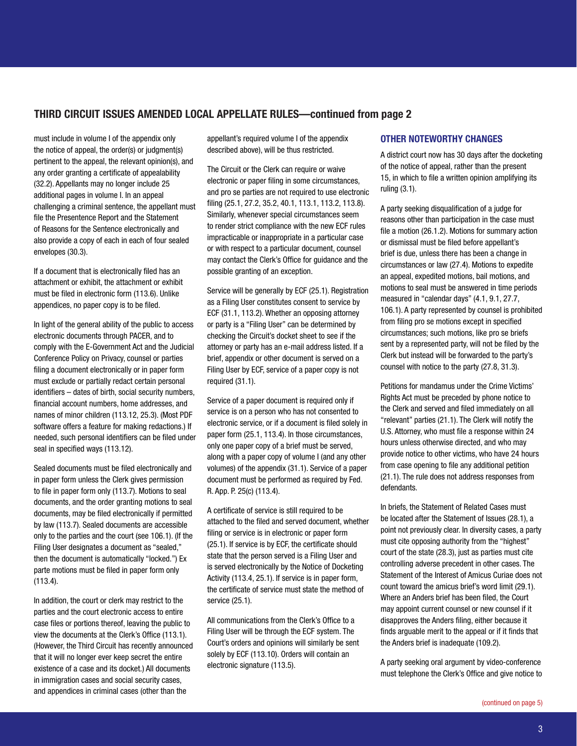## <span id="page-2-0"></span>THIRD CIRCUIT ISSUES AMENDED LOCAL APPELLATE RULES—continued from page 2

must include in volume I of the appendix only the notice of appeal, the order(s) or judgment(s) pertinent to the appeal, the relevant opinion(s), and any order granting a certificate of appealability (32.2). Appellants may no longer include 25 additional pages in volume I. In an appeal challenging a criminal sentence, the appellant must file the Presentence Report and the Statement of Reasons for the Sentence electronically and also provide a copy of each in each of four sealed envelopes (30.3).

If a document that is electronically filed has an attachment or exhibit, the attachment or exhibit must be filed in electronic form (113.6). Unlike appendices, no paper copy is to be filed.

In light of the general ability of the public to access electronic documents through PACER, and to comply with the E-Government Act and the Judicial Conference Policy on Privacy, counsel or parties filing a document electronically or in paper form must exclude or partially redact certain personal identifiers – dates of birth, social security numbers, financial account numbers, home addresses, and names of minor children (113.12, 25.3). (Most PDF software offers a feature for making redactions.) If needed, such personal identifiers can be filed under seal in specified ways (113.12).

Sealed documents must be filed electronically and in paper form unless the Clerk gives permission to file in paper form only (113.7). Motions to seal documents, and the order granting motions to seal documents, may be filed electronically if permitted by law (113.7). Sealed documents are accessible only to the parties and the court (see 106.1). (If the Filing User designates a document as "sealed," then the document is automatically "locked.") Ex parte motions must be filed in paper form only (113.4).

In addition, the court or clerk may restrict to the parties and the court electronic access to entire case files or portions thereof, leaving the public to view the documents at the Clerk's Office (113.1). (However, the Third Circuit has recently announced that it will no longer ever keep secret the entire existence of a case and its docket.) All documents in immigration cases and social security cases, and appendices in criminal cases (other than the

appellant's required volume I of the appendix described above), will be thus restricted.

The Circuit or the Clerk can require or waive electronic or paper filing in some circumstances, and pro se parties are not required to use electronic filing (25.1, 27.2, 35.2, 40.1, 113.1, 113.2, 113.8). Similarly, whenever special circumstances seem to render strict compliance with the new ECF rules impracticable or inappropriate in a particular case or with respect to a particular document, counsel may contact the Clerk's Office for guidance and the possible granting of an exception.

Service will be generally by ECF (25.1). Registration as a Filing User constitutes consent to service by ECF (31.1, 113.2). Whether an opposing attorney or party is a "Filing User" can be determined by checking the Circuit's docket sheet to see if the attorney or party has an e-mail address listed. If a brief, appendix or other document is served on a Filing User by ECF, service of a paper copy is not required (31.1).

Service of a paper document is required only if service is on a person who has not consented to electronic service, or if a document is filed solely in paper form (25.1, 113.4). In those circumstances, only one paper copy of a brief must be served, along with a paper copy of volume I (and any other volumes) of the appendix (31.1). Service of a paper document must be performed as required by Fed. R. App. P. 25(c) (113.4).

A certificate of service is still required to be attached to the filed and served document, whether filing or service is in electronic or paper form (25.1). If service is by ECF, the certificate should state that the person served is a Filing User and is served electronically by the Notice of Docketing Activity (113.4, 25.1). If service is in paper form, the certificate of service must state the method of service (25.1).

All communications from the Clerk's Office to a Filing User will be through the ECF system. The Court's orders and opinions will similarly be sent solely by ECF (113.10). Orders will contain an electronic signature (113.5).

### OTHER NOTEWORTHY CHANGES

A district court now has 30 days after the docketing of the notice of appeal, rather than the present 15, in which to file a written opinion amplifying its ruling (3.1).

A party seeking disqualification of a judge for reasons other than participation in the case must file a motion (26.1.2). Motions for summary action or dismissal must be filed before appellant's brief is due, unless there has been a change in circumstances or law (27.4). Motions to expedite an appeal, expedited motions, bail motions, and motions to seal must be answered in time periods measured in "calendar days" (4.1, 9.1, 27.7, 106.1). A party represented by counsel is prohibited from filing pro se motions except in specified circumstances; such motions, like pro se briefs sent by a represented party, will not be filed by the Clerk but instead will be forwarded to the party's counsel with notice to the party (27.8, 31.3).

Petitions for mandamus under the Crime Victims' Rights Act must be preceded by phone notice to the Clerk and served and filed immediately on all "relevant" parties (21.1). The Clerk will notify the U.S. Attorney, who must file a response within 24 hours unless otherwise directed, and who may provide notice to other victims, who have 24 hours from case opening to file any additional petition (21.1). The rule does not address responses from defendants.

In briefs, the Statement of Related Cases must be located after the Statement of Issues (28.1), a point not previously clear. In diversity cases, a party must cite opposing authority from the "highest" court of the state (28.3), just as parties must cite controlling adverse precedent in other cases. The Statement of the Interest of Amicus Curiae does not count toward the amicus brief's word limit (29.1). Where an Anders brief has been filed, the Court may appoint current counsel or new counsel if it disapproves the Anders filing, either because it finds arguable merit to the appeal or if it finds that the Anders brief is inadequate (109.2).

A party seeking oral argument by video-conference must telephone the Clerk's Office and give notice to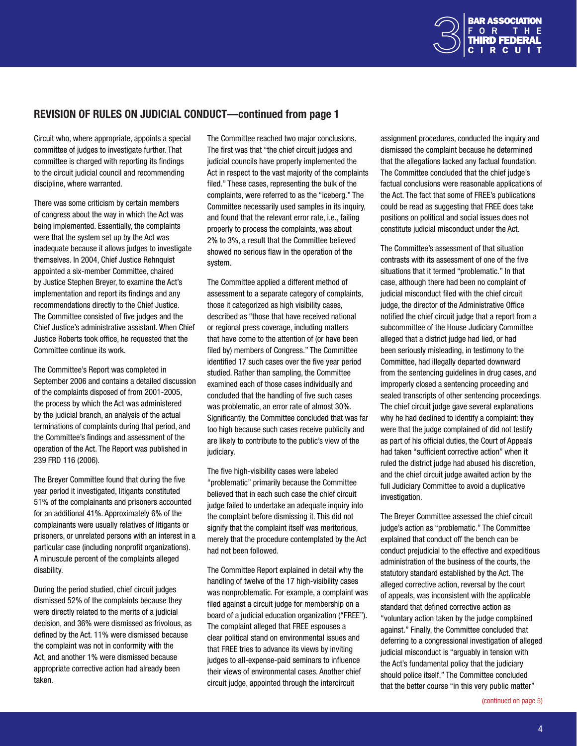

# <span id="page-3-0"></span>Revision of Rules on Judicial Conduct—continued from page 1

Circuit who, where appropriate, appoints a special committee of judges to investigate further. That committee is charged with reporting its findings to the circuit judicial council and recommending discipline, where warranted.

There was some criticism by certain members of congress about the way in which the Act was being implemented. Essentially, the complaints were that the system set up by the Act was inadequate because it allows judges to investigate themselves. In 2004, Chief Justice Rehnquist appointed a six-member Committee, chaired by Justice Stephen Breyer, to examine the Act's implementation and report its findings and any recommendations directly to the Chief Justice. The Committee consisted of five judges and the Chief Justice's administrative assistant. When Chief Justice Roberts took office, he requested that the Committee continue its work.

The Committee's Report was completed in September 2006 and contains a detailed discussion of the complaints disposed of from 2001-2005, the process by which the Act was administered by the judicial branch, an analysis of the actual terminations of complaints during that period, and the Committee's findings and assessment of the operation of the Act. The Report was published in 239 FRD 116 (2006).

The Breyer Committee found that during the five year period it investigated, litigants constituted 51% of the complainants and prisoners accounted for an additional 41%. Approximately 6% of the complainants were usually relatives of litigants or prisoners, or unrelated persons with an interest in a particular case (including nonprofit organizations). A minuscule percent of the complaints alleged disability.

During the period studied, chief circuit judges dismissed 52% of the complaints because they were directly related to the merits of a judicial decision, and 36% were dismissed as frivolous, as defined by the Act. 11% were dismissed because the complaint was not in conformity with the Act, and another 1% were dismissed because appropriate corrective action had already been taken.

The Committee reached two major conclusions. The first was that "the chief circuit judges and judicial councils have properly implemented the Act in respect to the vast majority of the complaints filed." These cases, representing the bulk of the complaints, were referred to as the "iceberg." The Committee necessarily used samples in its inquiry, and found that the relevant error rate, i.e., failing properly to process the complaints, was about 2% to 3%, a result that the Committee believed showed no serious flaw in the operation of the system.

The Committee applied a different method of assessment to a separate category of complaints, those it categorized as high visibility cases, described as "those that have received national or regional press coverage, including matters that have come to the attention of (or have been filed by) members of Congress." The Committee identified 17 such cases over the five year period studied. Rather than sampling, the Committee examined each of those cases individually and concluded that the handling of five such cases was problematic, an error rate of almost 30%. Significantly, the Committee concluded that was far too high because such cases receive publicity and are likely to contribute to the public's view of the judiciary.

The five high-visibility cases were labeled "problematic" primarily because the Committee believed that in each such case the chief circuit judge failed to undertake an adequate inquiry into the complaint before dismissing it. This did not signify that the complaint itself was meritorious, merely that the procedure contemplated by the Act had not been followed.

The Committee Report explained in detail why the handling of twelve of the 17 high-visibility cases was nonproblematic. For example, a complaint was filed against a circuit judge for membership on a board of a judicial education organization ("FREE"). The complaint alleged that FREE espouses a clear political stand on environmental issues and that FREE tries to advance its views by inviting judges to all-expense-paid seminars to influence their views of environmental cases. Another chief circuit judge, appointed through the intercircuit

assignment procedures, conducted the inquiry and dismissed the complaint because he determined that the allegations lacked any factual foundation. The Committee concluded that the chief judge's factual conclusions were reasonable applications of the Act. The fact that some of FREE's publications could be read as suggesting that FREE does take positions on political and social issues does not constitute judicial misconduct under the Act.

The Committee's assessment of that situation contrasts with its assessment of one of the five situations that it termed "problematic." In that case, although there had been no complaint of judicial misconduct filed with the chief circuit judge, the director of the Administrative Office notified the chief circuit judge that a report from a subcommittee of the House Judiciary Committee alleged that a district judge had lied, or had been seriously misleading, in testimony to the Committee, had illegally departed downward from the sentencing guidelines in drug cases, and improperly closed a sentencing proceeding and sealed transcripts of other sentencing proceedings. The chief circuit judge gave several explanations why he had declined to identify a complaint: they were that the judge complained of did not testify as part of his official duties, the Court of Appeals had taken "sufficient corrective action" when it ruled the district judge had abused his discretion. and the chief circuit judge awaited action by the full Judiciary Committee to avoid a duplicative investigation.

The Breyer Committee assessed the chief circuit judge's action as "problematic." The Committee explained that conduct off the bench can be conduct prejudicial to the effective and expeditious administration of the business of the courts, the statutory standard established by the Act. The alleged corrective action, reversal by the court of appeals, was inconsistent with the applicable standard that defined corrective action as "voluntary action taken by the judge complained against." Finally, the Committee concluded that deferring to a congressional investigation of alleged judicial misconduct is "arguably in tension with the Act's fundamental policy that the judiciary should police itself." The Committee concluded that the better course "in this very public matter"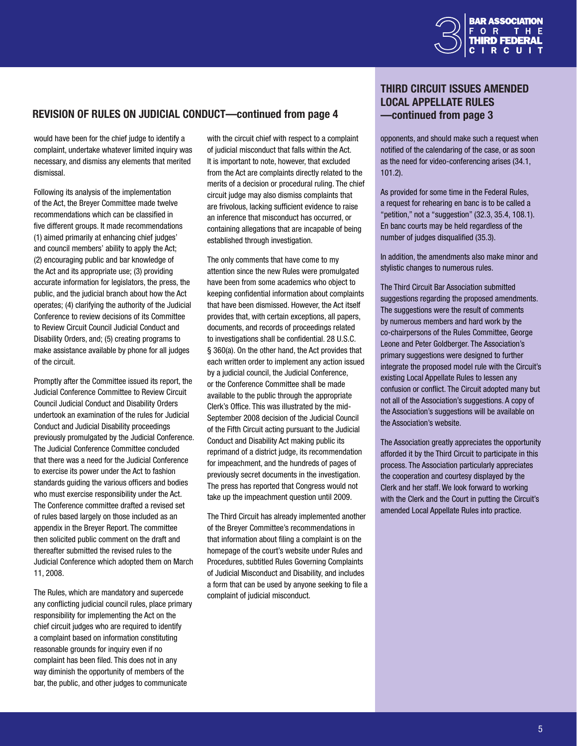

## <span id="page-4-0"></span>Revision of Rules on Judicial Conduct—continued from page 4

would have been for the chief judge to identify a complaint, undertake whatever limited inquiry was necessary, and dismiss any elements that merited dismissal.

Following its analysis of the implementation of the Act, the Breyer Committee made twelve recommendations which can be classified in five different groups. It made recommendations (1) aimed primarily at enhancing chief judges' and council members' ability to apply the Act; (2) encouraging public and bar knowledge of the Act and its appropriate use; (3) providing accurate information for legislators, the press, the public, and the judicial branch about how the Act operates; (4) clarifying the authority of the Judicial Conference to review decisions of its Committee to Review Circuit Council Judicial Conduct and Disability Orders, and; (5) creating programs to make assistance available by phone for all judges of the circuit.

Promptly after the Committee issued its report, the Judicial Conference Committee to Review Circuit Council Judicial Conduct and Disability Orders undertook an examination of the rules for Judicial Conduct and Judicial Disability proceedings previously promulgated by the Judicial Conference. The Judicial Conference Committee concluded that there was a need for the Judicial Conference to exercise its power under the Act to fashion standards guiding the various officers and bodies who must exercise responsibility under the Act. The Conference committee drafted a revised set of rules based largely on those included as an appendix in the Breyer Report. The committee then solicited public comment on the draft and thereafter submitted the revised rules to the Judicial Conference which adopted them on March 11, 2008.

The Rules, which are mandatory and supercede any conflicting judicial council rules, place primary responsibility for implementing the Act on the chief circuit judges who are required to identify a complaint based on information constituting reasonable grounds for inquiry even if no complaint has been filed. This does not in any way diminish the opportunity of members of the bar, the public, and other judges to communicate

with the circuit chief with respect to a complaint of judicial misconduct that falls within the Act. It is important to note, however, that excluded from the Act are complaints directly related to the merits of a decision or procedural ruling. The chief circuit judge may also dismiss complaints that are frivolous, lacking sufficient evidence to raise an inference that misconduct has occurred, or containing allegations that are incapable of being established through investigation.

The only comments that have come to my attention since the new Rules were promulgated have been from some academics who object to keeping confidential information about complaints that have been dismissed. However, the Act itself provides that, with certain exceptions, all papers, documents, and records of proceedings related to investigations shall be confidential. 28 U.S.C. § 360(a). On the other hand, the Act provides that each written order to implement any action issued by a judicial council, the Judicial Conference, or the Conference Committee shall be made available to the public through the appropriate Clerk's Office. This was illustrated by the mid-September 2008 decision of the Judicial Council of the Fifth Circuit acting pursuant to the Judicial Conduct and Disability Act making public its reprimand of a district judge, its recommendation for impeachment, and the hundreds of pages of previously secret documents in the investigation. The press has reported that Congress would not take up the impeachment question until 2009.

The Third Circuit has already implemented another of the Breyer Committee's recommendations in that information about filing a complaint is on the homepage of the court's website under Rules and Procedures, subtitled Rules Governing Complaints of Judicial Misconduct and Disability, and includes a form that can be used by anyone seeking to file a complaint of judicial misconduct.

# THIRD CIRCUIT ISSUES AMENDED LOCAL APPELLATE RULES —continued from page 3

opponents, and should make such a request when notified of the calendaring of the case, or as soon as the need for video-conferencing arises (34.1, 101.2).

As provided for some time in the Federal Rules, a request for rehearing en banc is to be called a "petition," not a "suggestion" (32.3, 35.4, 108.1). En banc courts may be held regardless of the number of judges disqualified (35.3).

In addition, the amendments also make minor and stylistic changes to numerous rules.

The Third Circuit Bar Association submitted suggestions regarding the proposed amendments. The suggestions were the result of comments by numerous members and hard work by the co-chairpersons of the Rules Committee, George Leone and Peter Goldberger. The Association's primary suggestions were designed to further integrate the proposed model rule with the Circuit's existing Local Appellate Rules to lessen any confusion or conflict. The Circuit adopted many but not all of the Association's suggestions. A copy of the Association's suggestions will be available on the Association's website.

The Association greatly appreciates the opportunity afforded it by the Third Circuit to participate in this process. The Association particularly appreciates the cooperation and courtesy displayed by the Clerk and her staff. We look forward to working with the Clerk and the Court in putting the Circuit's amended Local Appellate Rules into practice.